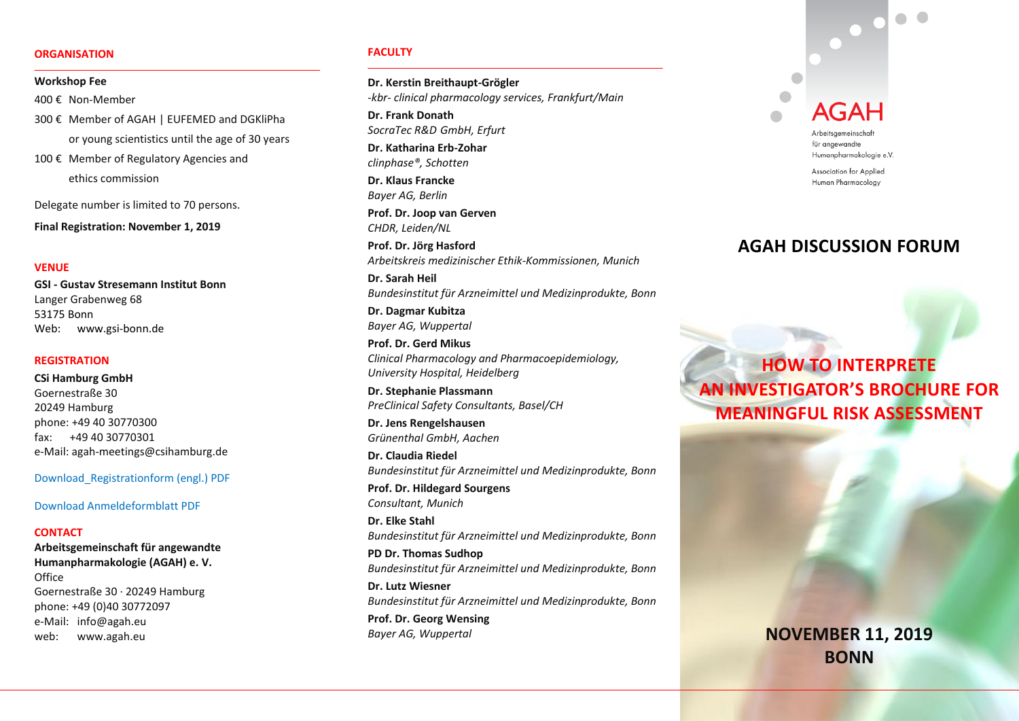### **ORGANISATION**

### **Workshop Fee**

400 € Non-Member

300 € Member of AGAH | EUFEMED and DGKliPha or young scientistics until the age of 30 years 100 € Member of Regulatory Agencies and

ethics commission

Delegate number is limited to 70 persons.

**Final Registration: November 1, 2019**

# **VENUE**

**GSI - Gustav Stresemann Institut Bonn** Langer Grabenweg 68 53175 Bonn Web: www.gsi-bonn.de

### **REGISTRATION**

**CSi Hamburg GmbH** Goernestraße 30 20249 Hamburg phone: +49 40 30770300 fax: +49 40 30770301 e-Mail: agah-meetings@csihamburg.de

[Download\\_Registrationform](http://www.csioffice.de/_download/AGAH/Registration_Form_AGAH_Workshop2019.pdf) (engl.) PDF

[Download Anmeldeformblatt](http://www.csioffice.de/_download/AGAH/Anmeldeform_AGAH_Workshop_Diskussionsforum2019.pdf) PDF

# **CONTACT**

**Arbeitsgemeinschaft für angewandte Humanpharmakologie (AGAH) e. V. Office** Goernestraße 30 · 20249 Hamburg phone: +49 (0)40 30772097 e-Mail: info@agah.eu web: www.agah.eu

#### **FACULTY**

**Dr. Kerstin Breithaupt-Grögler** *-kbr- clinical pharmacology services, Frankfurt/Main*

**Dr. Frank Donath**  *SocraTec R&D GmbH, Erfurt*

**Dr. Katharina Erb-Zohar** *clinphase®, Schotten*

**Dr. Klaus Francke** *Bayer AG, Berlin*

**Prof. Dr. Joop van Gerven**  *CHDR, Leiden/NL*

**Prof. Dr. Jörg Hasford**  *Arbeitskreis medizinischer Ethik-Kommissionen, Munich*

**Dr. Sarah Heil** *Bundesinstitut für Arzneimittel und Medizinprodukte, Bonn*

**Dr. Dagmar Kubitza** *Bayer AG, Wuppertal*

**Prof. Dr. Gerd Mikus** *Clinical Pharmacology and Pharmacoepidemiology, University Hospital, Heidelberg*

**Dr. Stephanie Plassmann** *PreClinical Safety Consultants, Basel/CH*

**Dr. Jens Rengelshausen** *Grünenthal GmbH, Aachen*

**Dr. Claudia Riedel**  *Bundesinstitut für Arzneimittel und Medizinprodukte, Bonn*

**Prof. Dr. Hildegard Sourgens** *Consultant, Munich*

**Dr. Elke Stahl** *Bundesinstitut für Arzneimittel und Medizinprodukte, Bonn* **PD Dr. Thomas Sudhop**

*Bundesinstitut für Arzneimittel und Medizinprodukte, Bonn*

**Dr. Lutz Wiesner**  *Bundesinstitut für Arzneimittel und Medizinprodukte, Bonn* **Prof. Dr. Georg Wensing** *Bayer AG, Wuppertal*



für angewandte Humanpharmakologie e.V.

Association for Applied Human Pharmacology

# **AGAH DISCUSSION FORUM**

**HOW TO INTERPRETE AN INVESTIGATOR'S BROCHURE FOR MEANINGFUL RISK ASSESSMENT**

# **NOVEMBER 11, 2019 BONN**